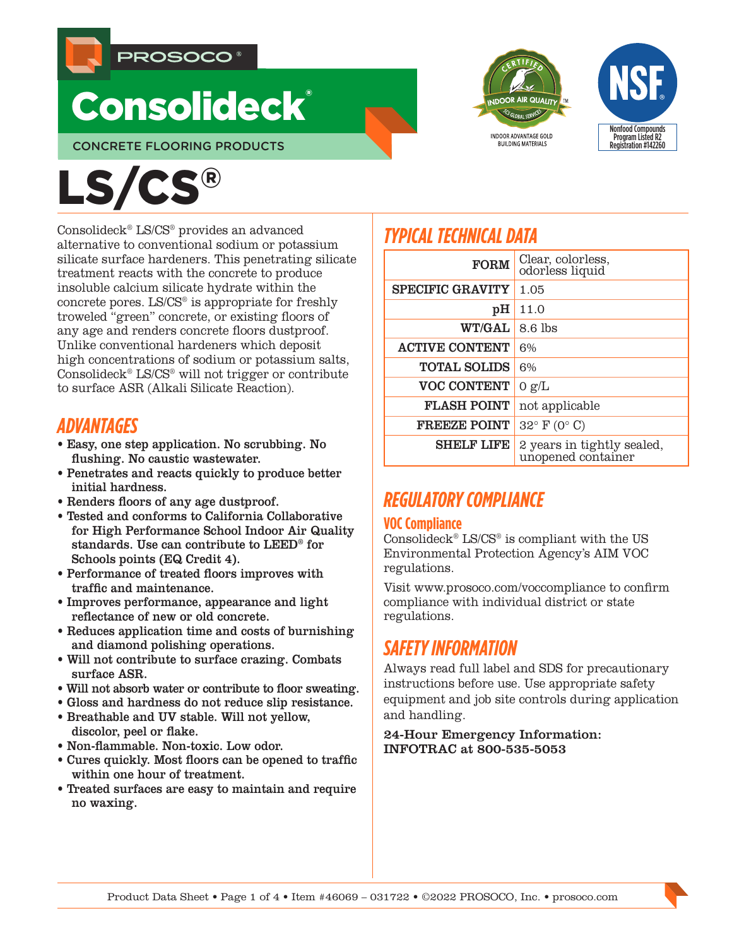

# **Consolideck®**

CONCRETE FLOORING PRODUCTS





# LS/CS®

Consolideck® LS/CS® provides an advanced alternative to conventional sodium or potassium silicate surface hardeners. This penetrating silicate treatment reacts with the concrete to produce insoluble calcium silicate hydrate within the concrete pores. LS/CS® is appropriate for freshly troweled "green" concrete, or existing floors of any age and renders concrete floors dustproof. Unlike conventional hardeners which deposit high concentrations of sodium or potassium salts, Consolideck® LS/CS® will not trigger or contribute to surface ASR (Alkali Silicate Reaction).

# *ADVANTAGES*

- Easy, one step application. No scrubbing. No flushing. No caustic wastewater.
- Penetrates and reacts quickly to produce better initial hardness.
- Renders floors of any age dustproof.
- Tested and conforms to California Collaborative for High Performance School Indoor Air Quality standards. Use can contribute to LEED® for Schools points (EQ Credit 4).
- Performance of treated floors improves with traffic and maintenance.
- Improves performance, appearance and light reflectance of new or old concrete.
- Reduces application time and costs of burnishing and diamond polishing operations.
- Will not contribute to surface crazing. Combats surface ASR.
- Will not absorb water or contribute to floor sweating.
- Gloss and hardness do not reduce slip resistance.
- Breathable and UV stable. Will not yellow, discolor, peel or flake.
- Non-flammable. Non-toxic. Low odor.
- Cures quickly. Most floors can be opened to traffic within one hour of treatment.
- Treated surfaces are easy to maintain and require no waxing.

# *TYPICAL TECHNICAL DATA*

| <b>FORM</b>             | Clear, colorless,<br>odorless liquid             |
|-------------------------|--------------------------------------------------|
| <b>SPECIFIC GRAVITY</b> | 1.05                                             |
| pH                      | 11.0                                             |
| <b>WT/GAL</b>           | $8.6$ lbs                                        |
| <b>ACTIVE CONTENT</b>   | 6%                                               |
| <b>TOTAL SOLIDS</b>     | 6%                                               |
| <b>VOC CONTENT</b>      | 0 g/L                                            |
| <b>FLASH POINT</b>      | not applicable                                   |
| <b>FREEZE POINT</b>     | $32^{\circ}$ F (0° C)                            |
| <b>SHELF LIFE</b>       | 2 years in tightly sealed,<br>unopened container |

# *REGULATORY COMPLIANCE*

# **VOC Compliance**

Consolideck® LS/CS® is compliant with the US Environmental Protection Agency's AIM VOC regulations.

Visit www.prosoco.com/voccompliance to confirm compliance with individual district or state regulations.

# *SAFETY INFORMATION*

Always read full label and SDS for precautionary instructions before use. Use appropriate safety equipment and job site controls during application and handling.

24-Hour Emergency Information: INFOTRAC at 800-535-5053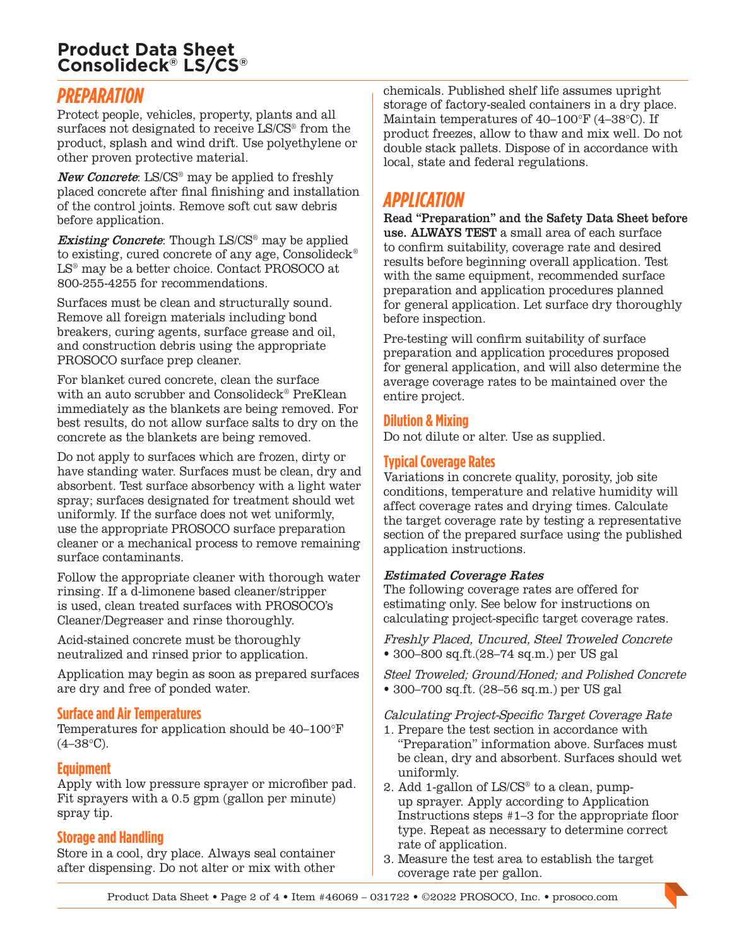# **Product Data Sheet Consolideck® LS/CS®**

# *PREPARATION*

Protect people, vehicles, property, plants and all surfaces not designated to receive LS/CS® from the product, splash and wind drift. Use polyethylene or other proven protective material.

New Concrete: LS/CS<sup>®</sup> may be applied to freshly placed concrete after final finishing and installation of the control joints. Remove soft cut saw debris before application.

**Existing Concrete:** Though LS/CS<sup>®</sup> may be applied to existing, cured concrete of any age, Consolideck<sup>®</sup> LS® may be a better choice. Contact PROSOCO at 800-255-4255 for recommendations.

Surfaces must be clean and structurally sound. Remove all foreign materials including bond breakers, curing agents, surface grease and oil, and construction debris using the appropriate PROSOCO surface prep cleaner.

For blanket cured concrete, clean the surface with an auto scrubber and Consolideck® PreKlean immediately as the blankets are being removed. For best results, do not allow surface salts to dry on the concrete as the blankets are being removed.

Do not apply to surfaces which are frozen, dirty or have standing water. Surfaces must be clean, dry and absorbent. Test surface absorbency with a light water spray; surfaces designated for treatment should wet uniformly. If the surface does not wet uniformly, use the appropriate PROSOCO surface preparation cleaner or a mechanical process to remove remaining surface contaminants.

Follow the appropriate cleaner with thorough water rinsing. If a d-limonene based cleaner/stripper is used, clean treated surfaces with PROSOCO's Cleaner/Degreaser and rinse thoroughly.

Acid-stained concrete must be thoroughly neutralized and rinsed prior to application.

Application may begin as soon as prepared surfaces are dry and free of ponded water.

## **Surface and Air Temperatures**

Temperatures for application should be 40–100°F  $(4-38°C)$ .

## **Equipment**

Apply with low pressure sprayer or microfiber pad. Fit sprayers with a 0.5 gpm (gallon per minute) spray tip.

## **Storage and Handling**

Store in a cool, dry place. Always seal container after dispensing. Do not alter or mix with other chemicals. Published shelf life assumes upright storage of factory-sealed containers in a dry place. Maintain temperatures of 40–100°F (4–38°C). If product freezes, allow to thaw and mix well. Do not double stack pallets. Dispose of in accordance with local, state and federal regulations.

# *APPLICATION*

Read "Preparation" and the Safety Data Sheet before use. ALWAYS TEST a small area of each surface to confirm suitability, coverage rate and desired results before beginning overall application. Test with the same equipment, recommended surface preparation and application procedures planned for general application. Let surface dry thoroughly before inspection.

Pre-testing will confirm suitability of surface preparation and application procedures proposed for general application, and will also determine the average coverage rates to be maintained over the entire project.

## **Dilution & Mixing**

Do not dilute or alter. Use as supplied.

# **Typical Coverage Rates**

Variations in concrete quality, porosity, job site conditions, temperature and relative humidity will affect coverage rates and drying times. Calculate the target coverage rate by testing a representative section of the prepared surface using the published application instructions.

#### Estimated Coverage Rates

The following coverage rates are offered for estimating only. See below for instructions on calculating project-specific target coverage rates.

Freshly Placed, Uncured, Steel Troweled Concrete • 300–800 sq.ft.(28–74 sq.m.) per US gal

Steel Troweled; Ground/Honed; and Polished Concrete • 300–700 sq.ft. (28–56 sq.m.) per US gal

Calculating Project-Specific Target Coverage Rate

- 1. Prepare the test section in accordance with "Preparation" information above. Surfaces must be clean, dry and absorbent. Surfaces should wet uniformly.
- 2. Add 1-gallon of LS/CS® to a clean, pumpup sprayer. Apply according to Application Instructions steps #1–3 for the appropriate floor type. Repeat as necessary to determine correct rate of application.
- 3. Measure the test area to establish the target coverage rate per gallon.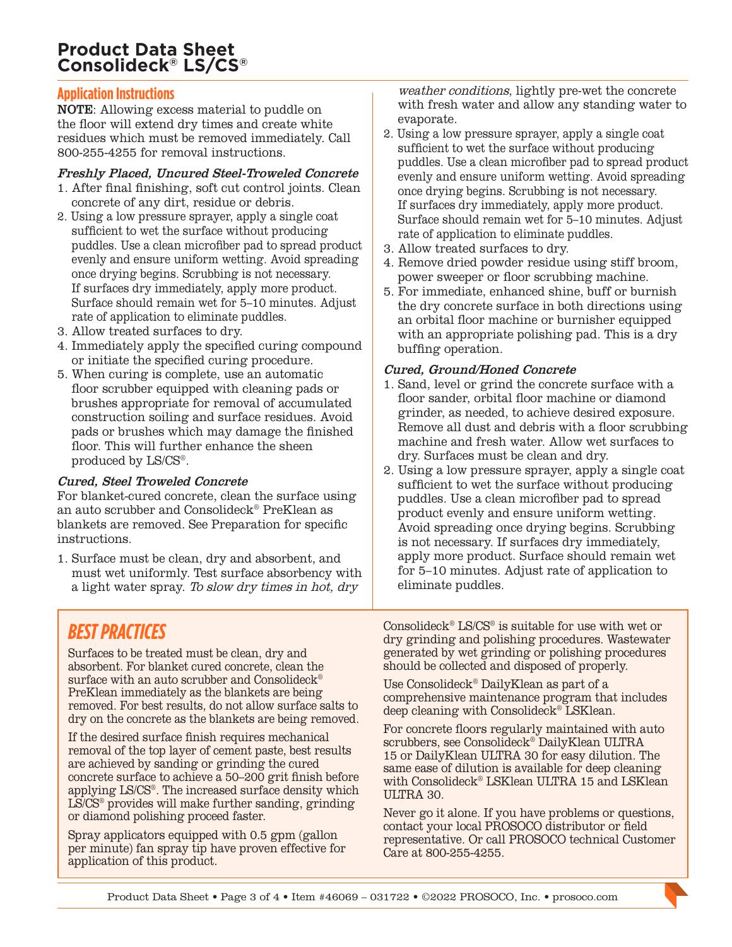# **Product Data Sheet Consolideck® LS/CS®**

## **Application Instructions**

NOTE: Allowing excess material to puddle on the floor will extend dry times and create white residues which must be removed immediately. Call 800-255-4255 for removal instructions.

#### Freshly Placed, Uncured Steel-Troweled Concrete

- 1. After final finishing, soft cut control joints. Clean concrete of any dirt, residue or debris.
- 2. Using a low pressure sprayer, apply a single coat sufficient to wet the surface without producing puddles. Use a clean microfiber pad to spread product evenly and ensure uniform wetting. Avoid spreading once drying begins. Scrubbing is not necessary. If surfaces dry immediately, apply more product. Surface should remain wet for 5–10 minutes. Adjust rate of application to eliminate puddles.
- 3. Allow treated surfaces to dry.
- 4. Immediately apply the specified curing compound or initiate the specified curing procedure.
- 5. When curing is complete, use an automatic floor scrubber equipped with cleaning pads or brushes appropriate for removal of accumulated construction soiling and surface residues. Avoid pads or brushes which may damage the finished floor. This will further enhance the sheen produced by LS/CS®.

#### Cured, Steel Troweled Concrete

For blanket-cured concrete, clean the surface using an auto scrubber and Consolideck® PreKlean as blankets are removed. See Preparation for specific instructions.

1. Surface must be clean, dry and absorbent, and must wet uniformly. Test surface absorbency with a light water spray. To slow dry times in hot, dry

weather conditions, lightly pre-wet the concrete with fresh water and allow any standing water to evaporate.

- 2. Using a low pressure sprayer, apply a single coat sufficient to wet the surface without producing puddles. Use a clean microfiber pad to spread product evenly and ensure uniform wetting. Avoid spreading once drying begins. Scrubbing is not necessary. If surfaces dry immediately, apply more product. Surface should remain wet for 5–10 minutes. Adjust rate of application to eliminate puddles.
- 3. Allow treated surfaces to dry.
- 4. Remove dried powder residue using stiff broom, power sweeper or floor scrubbing machine.
- 5. For immediate, enhanced shine, buff or burnish the dry concrete surface in both directions using an orbital floor machine or burnisher equipped with an appropriate polishing pad. This is a dry buffing operation.

# Cured, Ground/Honed Concrete

- 1. Sand, level or grind the concrete surface with a floor sander, orbital floor machine or diamond grinder, as needed, to achieve desired exposure. Remove all dust and debris with a floor scrubbing machine and fresh water. Allow wet surfaces to dry. Surfaces must be clean and dry.
- 2. Using a low pressure sprayer, apply a single coat sufficient to wet the surface without producing puddles. Use a clean microfiber pad to spread product evenly and ensure uniform wetting. Avoid spreading once drying begins. Scrubbing is not necessary. If surfaces dry immediately, apply more product. Surface should remain wet for 5–10 minutes. Adjust rate of application to eliminate puddles.

# *BEST PRACTICES*

Surfaces to be treated must be clean, dry and absorbent. For blanket cured concrete, clean the surface with an auto scrubber and Consolideck<sup>®</sup> PreKlean immediately as the blankets are being removed. For best results, do not allow surface salts to dry on the concrete as the blankets are being removed.

If the desired surface finish requires mechanical removal of the top layer of cement paste, best results are achieved by sanding or grinding the cured concrete surface to achieve a 50–200 grit finish before applying LS/CS®. The increased surface density which  $LS/CS<sup>®</sup>$  provides will make further sanding, grinding or diamond polishing proceed faster.

Spray applicators equipped with 0.5 gpm (gallon per minute) fan spray tip have proven effective for application of this product.

Consolideck® LS/CS® is suitable for use with wet or dry grinding and polishing procedures. Wastewater generated by wet grinding or polishing procedures should be collected and disposed of properly.

Use Consolideck® DailyKlean as part of a comprehensive maintenance program that includes deep cleaning with Consolideck® LSKlean.

For concrete floors regularly maintained with auto scrubbers, see Consolideck® DailyKlean ULTRA 15 or DailyKlean ULTRA 30 for easy dilution. The same ease of dilution is available for deep cleaning with Consolideck® LSKlean ULTRA 15 and LSKlean ULTRA 30.

Never go it alone. If you have problems or questions, contact your local PROSOCO distributor or field representative. Or call PROSOCO technical Customer Care at 800-255-4255.